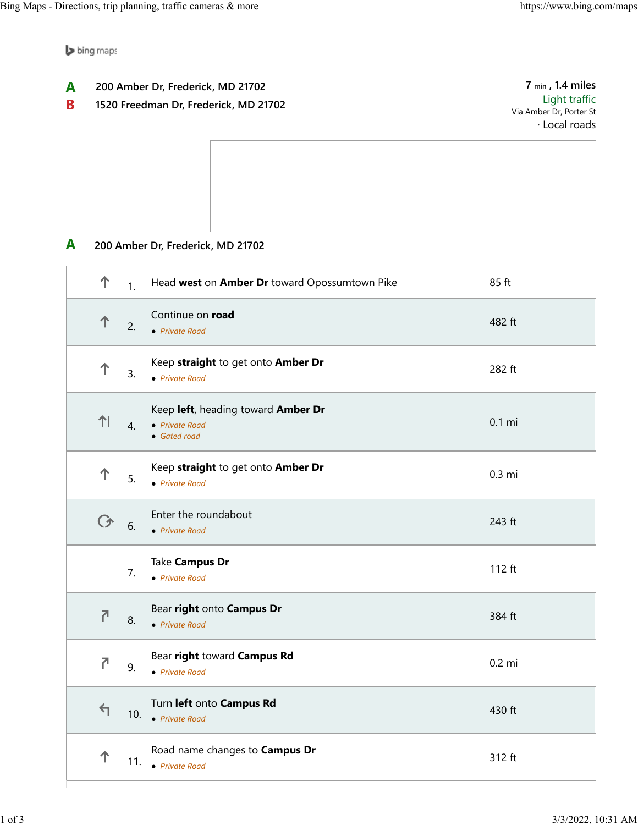bing maps

- **200 Amber Dr, Frederick, MD 21702 A**
- **1520 Freedman Dr, Frederick, MD 21702 B**

**7 min , 1.4 miles** Light traffic Via Amber Dr, Porter St · Local roads

**200 Amber Dr, Frederick, MD 21702 A**

| 个              | 1.               | Head west on Amber Dr toward Opossumtown Pike                        | 85 ft    |
|----------------|------------------|----------------------------------------------------------------------|----------|
| 个              | 2.               | Continue on road<br>• Private Road                                   | 482 ft   |
| 个              | 3.               | Keep straight to get onto Amber Dr<br>• Private Road                 | 282 ft   |
| 11             | $\overline{4}$ . | Keep left, heading toward Amber Dr<br>• Private Road<br>• Gated road | $0.1$ mi |
| 个              | 5.               | Keep straight to get onto Amber Dr<br>• Private Road                 | 0.3 mi   |
| ◯              | 6.               | Enter the roundabout<br>• Private Road                               | 243 ft   |
|                | 7.               | Take Campus Dr<br>• Private Road                                     | 112 ft   |
| $\overline{C}$ | 8.               | Bear right onto Campus Dr<br>• Private Road                          | 384 ft   |
| 7              | 9.               | Bear right toward Campus Rd<br>• Private Road                        | $0.2$ mi |
| $\leftarrow$   | 10.              | Turn left onto Campus Rd<br>• Private Road                           | 430 ft   |
| 个              | 11.              | Road name changes to Campus Dr<br>• Private Road                     | 312 ft   |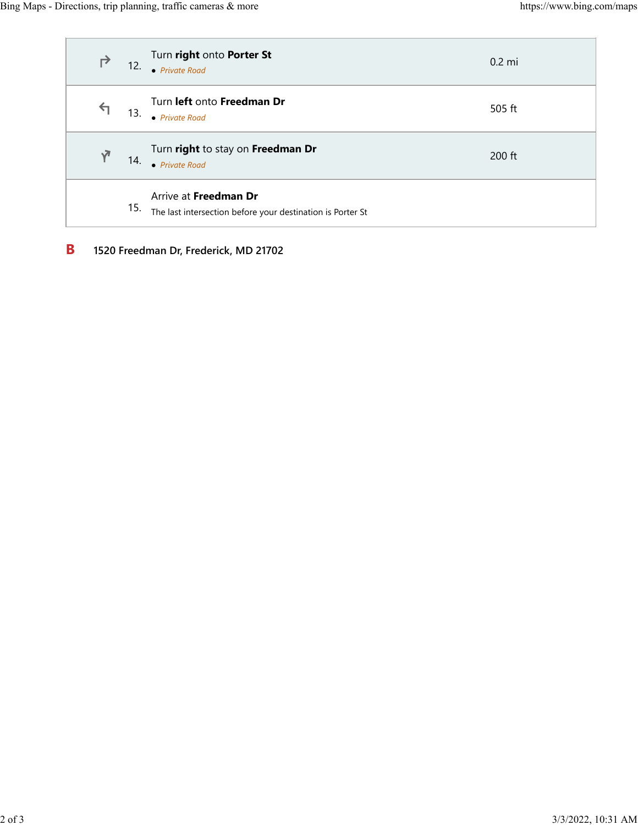| ↱            | 12. | Turn right onto Porter St<br>• Private Road                                         | $0.2 \text{ mi}$ |
|--------------|-----|-------------------------------------------------------------------------------------|------------------|
| $\leftarrow$ | 13. | Turn left onto Freedman Dr<br>• Private Road                                        | 505 ft           |
| $\sqrt{ }$   | 14. | Turn right to stay on Freedman Dr<br>• Private Road                                 | $200$ ft         |
|              | 15. | Arrive at Freedman Dr<br>The last intersection before your destination is Porter St |                  |

**1520 Freedman Dr, Frederick, MD 21702 B**